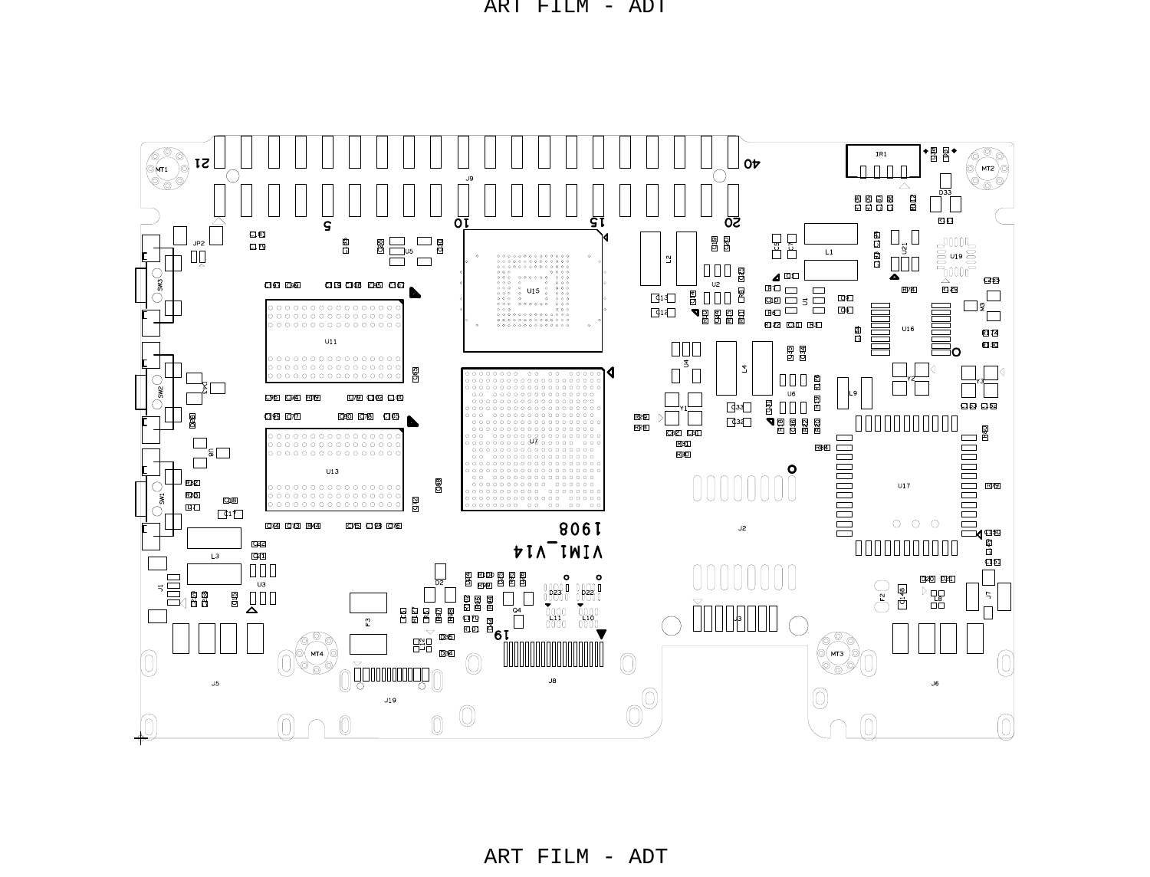